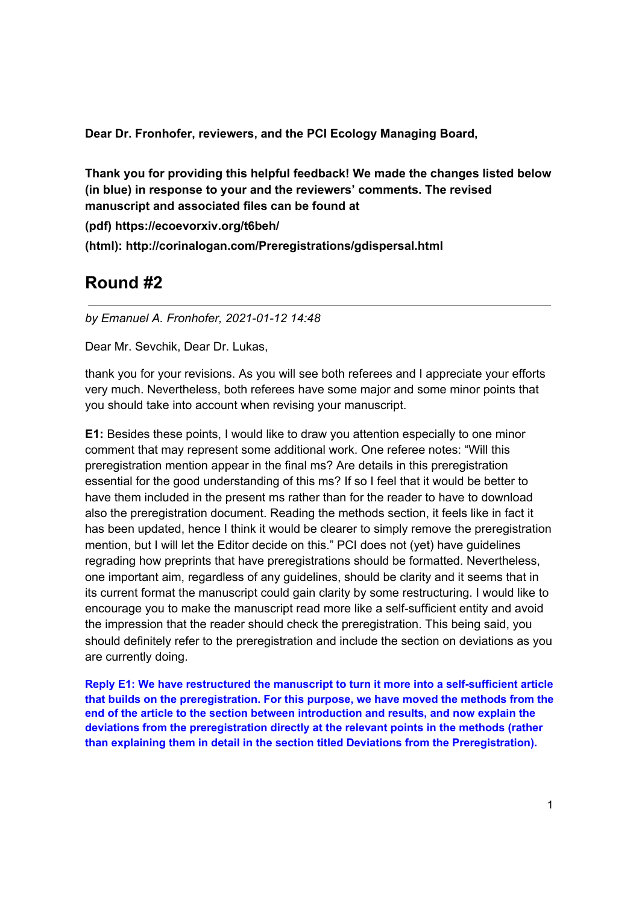Dear Dr. Fronhofer, reviewers, and the PCI Ecology Managing Board,

Thank you for providing this helpful feedback! We made the changes listed below (in blue) in response to your and the reviewers' comments. The revised manuscript and associated files can be found at

(pdf) https://ecoevorxiv.org/t6beh/

(html): http://corinalogan.com/Preregistrations/gdispersal.html

# Round #2

by Emanuel A. Fronhofer, 2021-01-12 14:48

Dear Mr. Sevchik, Dear Dr. Lukas,

thank you for your revisions. As you will see both referees and I appreciate your efforts very much. Nevertheless, both referees have some major and some minor points that you should take into account when revising your manuscript.

E1: Besides these points, I would like to draw you attention especially to one minor comment that may represent some additional work. One referee notes: "Will this preregistration mention appear in the final ms? Are details in this preregistration essential for the good understanding of this ms? If so I feel that it would be better to have them included in the present ms rather than for the reader to have to download also the preregistration document. Reading the methods section, it feels like in fact it has been updated, hence I think it would be clearer to simply remove the preregistration mention, but I will let the Editor decide on this." PCI does not (yet) have quidelines regrading how preprints that have preregistrations should be formatted. Nevertheless. one important aim, regardless of any guidelines, should be clarity and it seems that in its current format the manuscript could gain clarity by some restructuring. I would like to encourage you to make the manuscript read more like a self-sufficient entity and avoid the impression that the reader should check the preregistration. This being said, you should definitely refer to the preregistration and include the section on deviations as you are currently doing.

Reply E1: We have restructured the manuscript to turn it more into a self-sufficient article that builds on the preregistration. For this purpose, we have moved the methods from the end of the article to the section between introduction and results, and now explain the deviations from the preregistration directly at the relevant points in the methods (rather than explaining them in detail in the section titled Deviations from the Preregistration).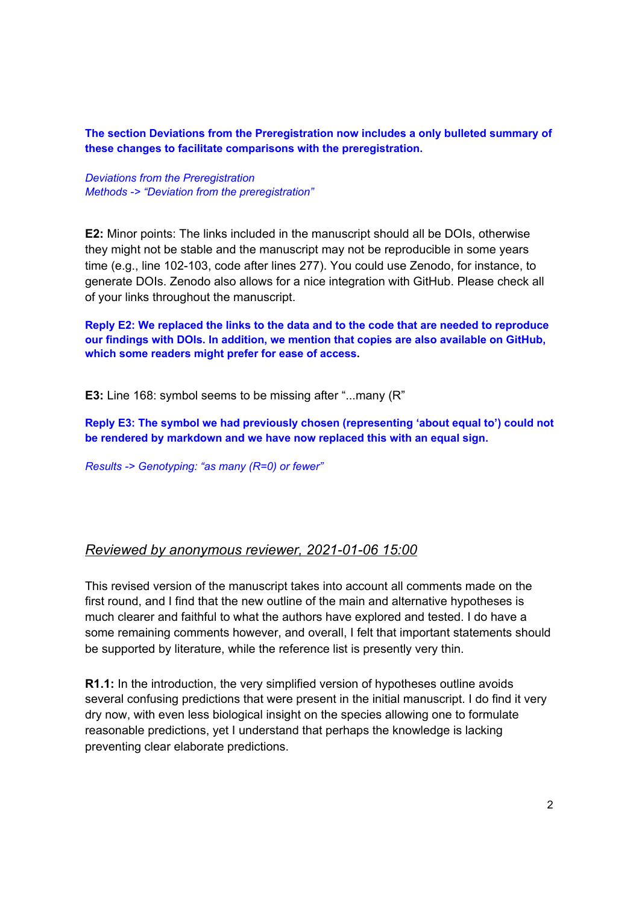The section Deviations from the Preregistration now includes a only bulleted summary of these changes to facilitate comparisons with the preregistration.

**Deviations from the Preregistration** Methods -> "Deviation from the preregistration"

**E2:** Minor points: The links included in the manuscript should all be DOIs, otherwise they might not be stable and the manuscript may not be reproducible in some years time (e.g., line 102-103, code after lines 277). You could use Zenodo, for instance, to generate DOIs. Zenodo also allows for a nice integration with GitHub. Please check all of your links throughout the manuscript.

Reply E2: We replaced the links to the data and to the code that are needed to reproduce our findings with DOIs. In addition, we mention that copies are also available on GitHub, which some readers might prefer for ease of access.

**E3:** Line 168: symbol seems to be missing after "...many (R"

Reply E3: The symbol we had previously chosen (representing 'about equal to') could not be rendered by markdown and we have now replaced this with an equal sign.

Results -> Genotyping: "as many (R=0) or fewer"

### Reviewed by anonymous reviewer, 2021-01-06 15:00

This revised version of the manuscript takes into account all comments made on the first round, and I find that the new outline of the main and alternative hypotheses is much clearer and faithful to what the authors have explored and tested. I do have a some remaining comments however, and overall, I felt that important statements should be supported by literature, while the reference list is presently very thin.

R1.1: In the introduction, the very simplified version of hypotheses outline avoids several confusing predictions that were present in the initial manuscript. I do find it very dry now, with even less biological insight on the species allowing one to formulate reasonable predictions, yet I understand that perhaps the knowledge is lacking preventing clear elaborate predictions.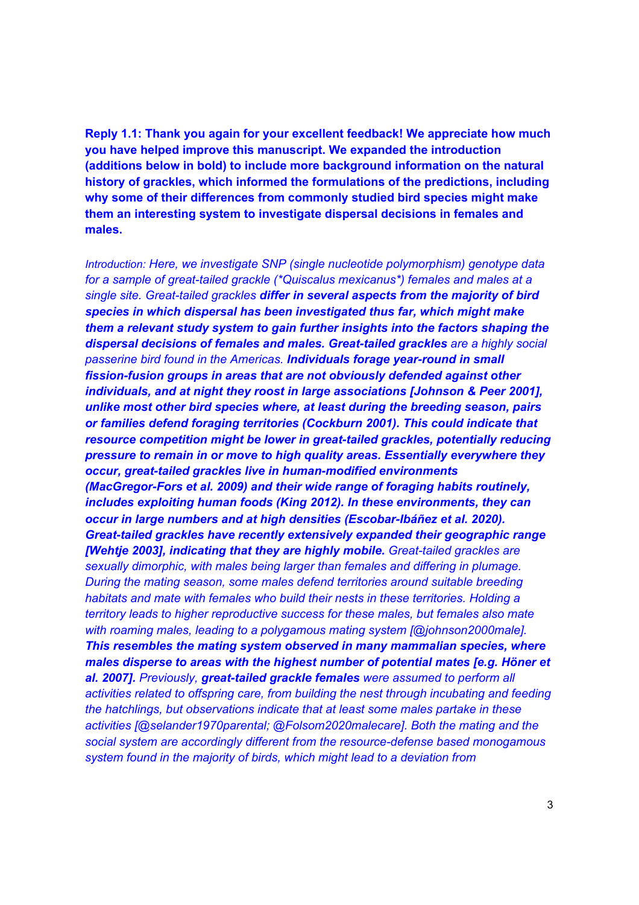Reply 1.1: Thank you again for your excellent feedback! We appreciate how much you have helped improve this manuscript. We expanded the introduction (additions below in bold) to include more background information on the natural history of grackles, which informed the formulations of the predictions, including why some of their differences from commonly studied bird species might make them an interesting system to investigate dispersal decisions in females and males.

Introduction: Here, we investigate SNP (single nucleotide polymorphism) genotype data for a sample of great-tailed grackle (\*Quiscalus mexicanus\*) females and males at a single site. Great-tailed grackles differ in several aspects from the majority of bird species in which dispersal has been investigated thus far, which might make them a relevant study system to gain further insights into the factors shaping the dispersal decisions of females and males. Great-tailed grackles are a highly social passerine bird found in the Americas. Individuals forage year-round in small fission-fusion groups in areas that are not obviously defended against other individuals, and at night they roost in large associations [Johnson & Peer 2001]. unlike most other bird species where, at least during the breeding season, pairs or families defend foraging territories (Cockburn 2001). This could indicate that resource competition might be lower in great-tailed grackles, potentially reducing pressure to remain in or move to high quality areas. Essentially everywhere they occur, great-tailed grackles live in human-modified environments (MacGregor-Fors et al. 2009) and their wide range of foraging habits routinely, includes exploiting human foods (King 2012). In these environments, they can occur in large numbers and at high densities (Escobar-Ibáñez et al. 2020). Great-tailed grackles have recently extensively expanded their geographic range [Wehtje 2003], indicating that they are highly mobile. Great-tailed grackles are sexually dimorphic, with males being larger than females and differing in plumage. During the mating season, some males defend territories around suitable breeding habitats and mate with females who build their nests in these territories. Holding a territory leads to higher reproductive success for these males, but females also mate with roaming males, leading to a polygamous mating system [@johnson2000male]. This resembles the mating system observed in many mammalian species, where males disperse to areas with the highest number of potential mates [e.g. Höner et al. 2007]. Previously, great-tailed grackle females were assumed to perform all activities related to offspring care, from building the nest through incubating and feeding the hatchlings, but observations indicate that at least some males partake in these activities [@selander1970parental; @Folsom2020malecare]. Both the mating and the social system are accordingly different from the resource-defense based monogamous system found in the majority of birds, which might lead to a deviation from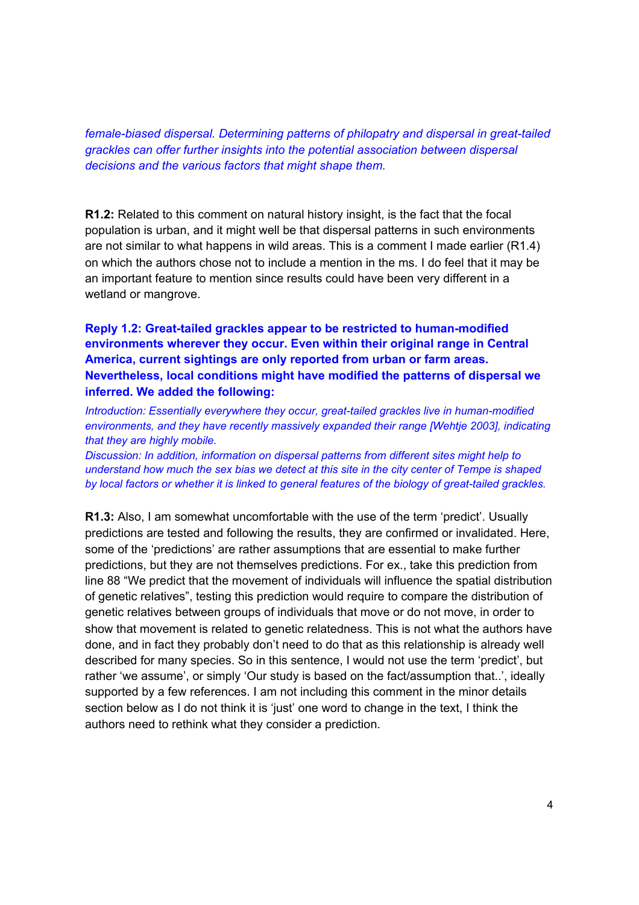female-biased dispersal. Determining patterns of philopatry and dispersal in great-tailed grackles can offer further insights into the potential association between dispersal decisions and the various factors that might shape them.

**R1.2:** Related to this comment on natural history insight, is the fact that the focal population is urban, and it might well be that dispersal patterns in such environments are not similar to what happens in wild areas. This is a comment I made earlier (R1.4) on which the authors chose not to include a mention in the ms. I do feel that it may be an important feature to mention since results could have been very different in a wetland or mangrove.

Reply 1.2: Great-tailed grackles appear to be restricted to human-modified environments wherever they occur. Even within their original range in Central America, current sightings are only reported from urban or farm areas. Nevertheless, local conditions might have modified the patterns of dispersal we inferred. We added the following:

Introduction: Essentially everywhere they occur, great-tailed grackles live in human-modified environments, and they have recently massively expanded their range [Wehtje 2003], indicating that they are highly mobile.

Discussion: In addition, information on dispersal patterns from different sites might help to understand how much the sex bias we detect at this site in the city center of Tempe is shaped by local factors or whether it is linked to general features of the biology of great-tailed grackles.

R1.3: Also, I am somewhat uncomfortable with the use of the term 'predict'. Usually predictions are tested and following the results, they are confirmed or invalidated. Here, some of the 'predictions' are rather assumptions that are essential to make further predictions, but they are not themselves predictions. For ex., take this prediction from line 88 "We predict that the movement of individuals will influence the spatial distribution of genetic relatives", testing this prediction would require to compare the distribution of genetic relatives between groups of individuals that move or do not move, in order to show that movement is related to genetic relatedness. This is not what the authors have done, and in fact they probably don't need to do that as this relationship is already well described for many species. So in this sentence, I would not use the term 'predict', but rather 'we assume', or simply 'Our study is based on the fact/assumption that..', ideally supported by a few references. I am not including this comment in the minor details section below as I do not think it is 'just' one word to change in the text, I think the authors need to rethink what they consider a prediction.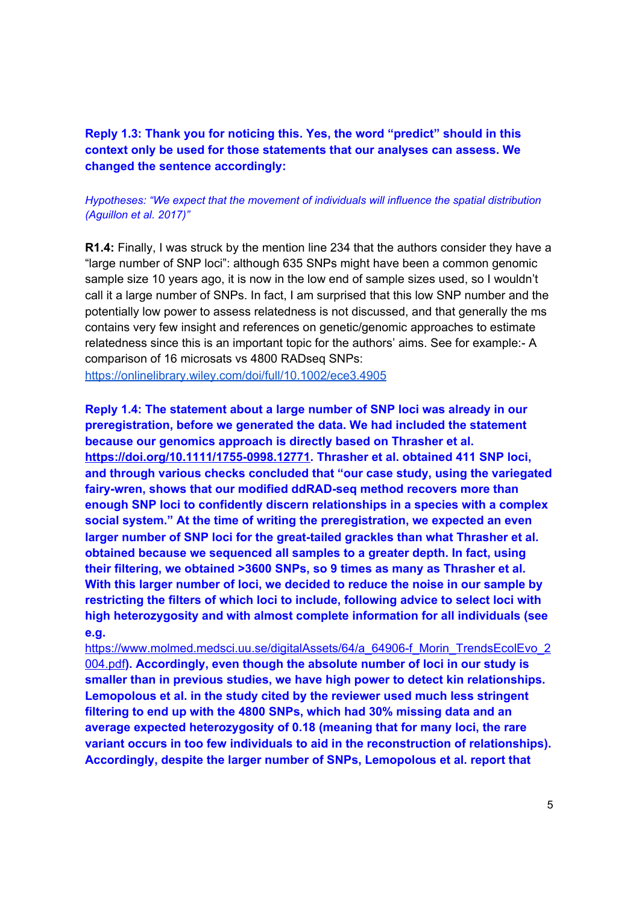Reply 1.3: Thank you for noticing this. Yes, the word "predict" should in this context only be used for those statements that our analyses can assess. We changed the sentence accordingly:

### Hypotheses: "We expect that the movement of individuals will influence the spatial distribution (Aguillon et al. 2017)"

R1.4: Finally, I was struck by the mention line 234 that the authors consider they have a "large number of SNP loci": although 635 SNPs might have been a common genomic sample size 10 years ago, it is now in the low end of sample sizes used, so I wouldn't call it a large number of SNPs. In fact, I am surprised that this low SNP number and the potentially low power to assess relatedness is not discussed, and that generally the ms contains very few insight and references on genetic/genomic approaches to estimate relatedness since this is an important topic for the authors' aims. See for example:- A comparison of 16 microsats vs 4800 RADseq SNPs:

https://onlinelibrary.wiley.com/doi/full/10.1002/ece3.4905

Reply 1.4: The statement about a large number of SNP loci was already in our preregistration, before we generated the data. We had included the statement because our genomics approach is directly based on Thrasher et al. https://doi.org/10.1111/1755-0998.12771. Thrasher et al. obtained 411 SNP loci, and through various checks concluded that "our case study, using the variegated fairy-wren, shows that our modified ddRAD-seq method recovers more than enough SNP loci to confidently discern relationships in a species with a complex social system." At the time of writing the preregistration, we expected an even larger number of SNP loci for the great-tailed grackles than what Thrasher et al. obtained because we sequenced all samples to a greater depth. In fact, using their filtering, we obtained >3600 SNPs, so 9 times as many as Thrasher et al. With this larger number of loci, we decided to reduce the noise in our sample by restricting the filters of which loci to include, following advice to select loci with high heterozygosity and with almost complete information for all individuals (see e.a.

https://www.molmed.medsci.uu.se/digitalAssets/64/a 64906-f Morin TrendsEcolEvo 2 004.pdf). Accordingly, even though the absolute number of loci in our study is smaller than in previous studies, we have high power to detect kin relationships. Lemopolous et al. in the study cited by the reviewer used much less stringent filtering to end up with the 4800 SNPs, which had 30% missing data and an average expected heterozygosity of 0.18 (meaning that for many loci, the rare variant occurs in too few individuals to aid in the reconstruction of relationships). Accordingly, despite the larger number of SNPs, Lemopolous et al. report that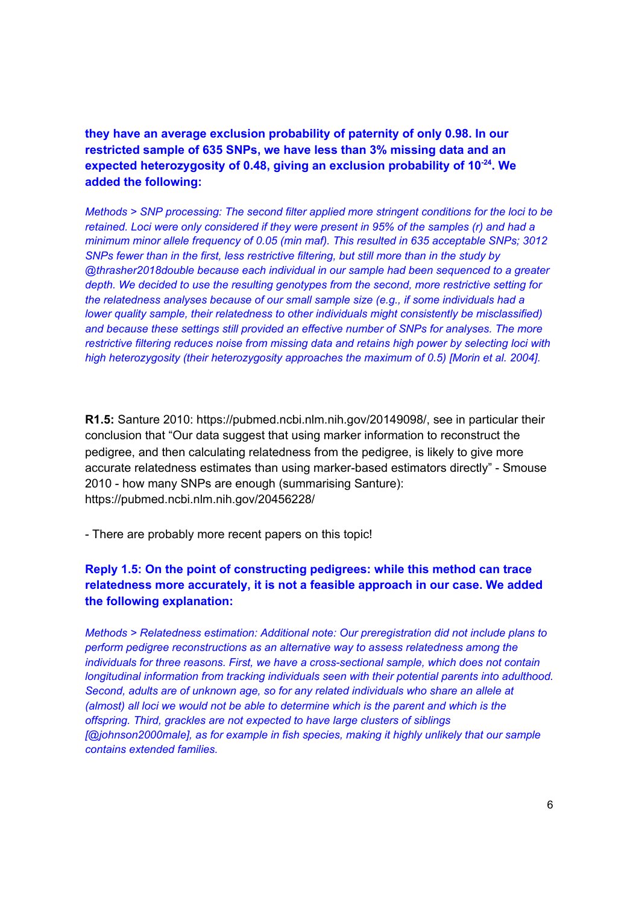they have an average exclusion probability of paternity of only 0.98. In our restricted sample of 635 SNPs, we have less than 3% missing data and an expected heterozygosity of 0.48, giving an exclusion probability of 10<sup>-24</sup>. We **added the following:** 

*Methods > SNP processing: The second filter applied more stringent conditions for the loci to be retained.* Loci were only considered if they were present in 95% of the samples (r) and had a *minimum minor allele frequenc\ of 0.05 (min maf). This resulted in 635 acceptable SNPs; 3012 SNPs fewer than in the first, less restrictive <i>filtering, but still more than in the study by @thrasher2018double because each indiYidual in our sample had been sequenced to a greater depth.* We decided to use the resulting genotypes from the second, more restrictive setting for *the relatedness analyses because* of *our small sample size* (e.g., *if some individuals had a lower quality* sample, *their relatedness to other individuals might consistently be misclassified*) *and because these settings still proYided an effectiYe number of SNPs for anal\ses. The more restrictive filtering reduces noise from missing* data and *retains high power* by selecting loci with *high heterozygosity* (*their heterozygosity approaches the maximum of 0.5)* [Morin et al. 2004].

**R1.5:** Santure 2010: https://pubmed.ncbi.nlm.nih.gov/20149098/, see in particular their conclusion that "Our data suggest that using marker information to reconstruct the pedigree, and then calculating relatedness from the pedigree, is likely to give more accurate relatedness estimates than using marker-based estimators directly" - Smouse 2010 - how many SNPs are enough (summarising Santure): https://pubmed.ncbi.nlm.nih.gov/20456228/

- There are probably more recent papers on this topic!

### **Reply 1.5: On the point of constructing pedigrees: while this method can trace** relatedness more accurately, it is not a feasible approach in our case. We added the following explanation:

*Methods > Relatedness estimation: Additional note: Our preregistration did not include plans to perform pedigree reconstructions* as an alternative way to assess relatedness among the *individuals* for *three reasons. First, we have a cross-sectional sample, which does not contain longitudinal information from tracking individuals seen with their potential parents into adulthood. Second, adults are of unknown age, so for any related <i>individuals* who share an allele at *(almost) all loci we would not be able to determine which is the parent and which is the offspring. Third, grackles are not e[pected to haYe large clusters of siblings [* $@$ *johnson2000male], as for example in fish species, making it highly unlikely that our sample*  $contains$  *extended families*.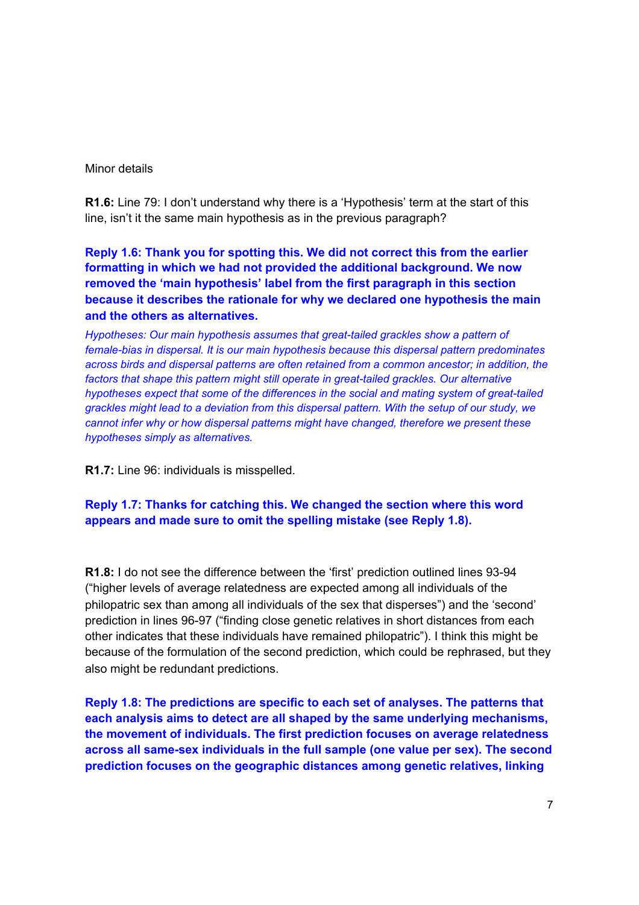### Minor details

**R1.6:** Line 79: I don't understand why there is a 'Hypothesis' term at the start of this line, isn't it the same main hypothesis as in the previous paragraph?

**Reply 1.6: Thank you for spotting this. We did not correct this from the earlier formatting in which we had not provided the additional background. We now removed the 'main hypothesis' label from the first paragraph in this section** because it describes the rationale for why we declared one hypothesis the main and the others as alternatives.

*Hypotheses: Our main hypothesis assumes that great-tailed grackles show a pattern of female-bias in dispersal. It is our main h\pothesis because this dispersal pattern predominates across birds and dispersal patterns are often retained from a common ancestor; in addition, the factors that shape this pattern might still operate in great-tailed grackles*. Our *alternative hypotheses expect that some of the differences in the social and mating system of great-tailed grackles might lead to a deYiation from this dispersal pattern. With the setup of our stud\, Ze cannot infer why or how dispersal patterns might have changed, therefore we present these hypotheses simply as alternatives.* 

**R1.7:** Line 96: individuals is misspelled.

# **Reply 1.7: Thanks for catching this. We changed the section where this word** appears and made sure to omit the spelling mistake (see Reply 1.8).

**R1.8:** I do not see the difference between the 'first' prediction outlined lines 93-94 ("higher levels of average relatedness are expected among all individuals of the philopatric sex than among all individuals of the sex that disperses") and the 'second' prediction in lines 96-97 ("finding close genetic relatives in short distances from each other indicates that these individuals have remained philopatric"). I think this might be because of the formulation of the second prediction, which could be rephrased, but they also might be redundant predictions.

**Reply 1.8: The predictions are specific to each set of analyses. The patterns that** each analysis aims to detect are all shaped by the same underlying mechanisms, the movement of individuals. The first prediction focuses on average relatedness across all same-sex individuals in the full sample (one value per sex). The second **prediction focuses on the geographic distances among genetic relatives, linking**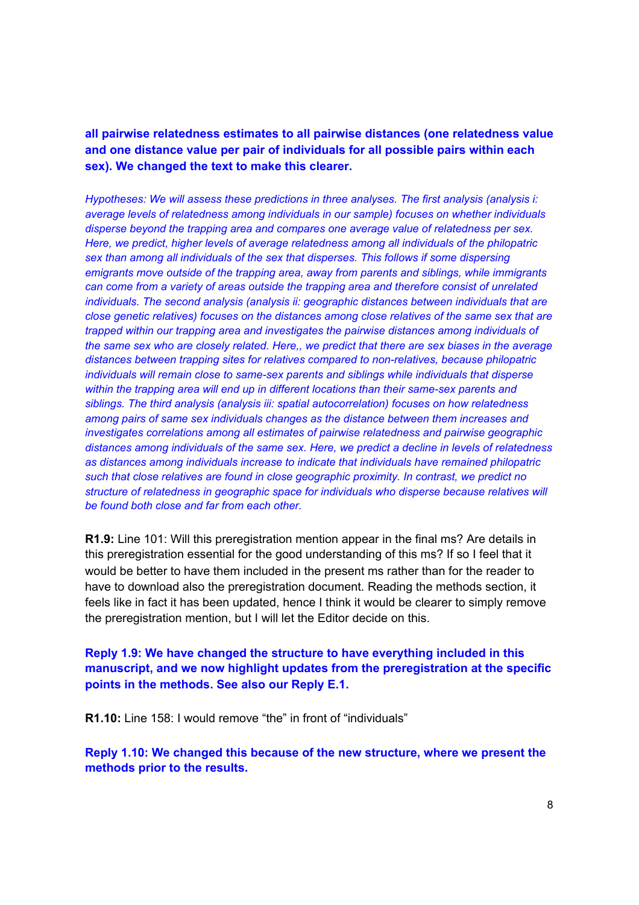all pairwise relatedness estimates to all pairwise distances (one relatedness value and one distance value per pair of individuals for all possible pairs within each sex). We changed the text to make this clearer.

*Hypotheses: We will assess these predictions in three analyses. The first analysis (analysis i: average* levels of relatedness among *individuals* in our sample) focuses on whether *individuals disperse beyond the trapping area and compares one average value of relatedness per sex. Here, Ze predict, higher leYels of aYerage relatedness among all indiYiduals of the philopatric se[ than among all indiYiduals of the se[ that disperses. This folloZs if some dispersing emigrants move outside of the trapping area, away from parents and siblings, while immigrants can come from a Yariet\ of areas outside the trapping area and therefore consist of unrelated individuals. The second analysis (analysis ii: geographic distances between individuals that are close* genetic relatives) focuses on the distances among close relatives of the same sex that are *trapped Zithin our trapping area and inYestigates the pairZise distances among indiYiduals of the* same sex who are closely related. Here,, we predict that there are sex biases in the average *distances between trapping* sites *for relatives compared to non-relatives*, *because philopatric individuals* will remain close to same-sex parents and siblings while individuals that disperse *zithin* the *trapping* area *will* end *up* in different locations than their same-sex parents and *siblings. The third analysis (analysis iii: spatial autocorrelation) focuses on how relatedness among pairs of same se[ indiYiduals changes as the distance betZeen them increases and investigates correlations among all estimates of pairwise relatedness and pairwise geographic distances among indiYiduals of the same se[. Here, Ze predict a decline in leYels of relatedness as distances among indiYiduals increase to indicate that indiYiduals haYe remained philopatric such that close relatiYes are found in close geographic pro[imit\. In contrast, Ze predict no structure of relatedness in geographic space for indiYiduals Zho disperse because relatiYes Zill be found both close and far from each other.*

**R1.9:** Line 101: Will this preregistration mention appear in the final ms? Are details in this preregistration essential for the good understanding of this ms? If so I feel that it would be better to have them included in the present ms rather than for the reader to have to download also the preregistration document. Reading the methods section, it feels like in fact it has been updated, hence I think it would be clearer to simply remove the preregistration mention, but I will let the Editor decide on this.

**Reply 1.9: We have changed the structure to have everything included in this** manuscript, and we now highlight updates from the preregistration at the specific points in the methods. See also our Reply E.1.

**R1.10:** Line 158: I would remove "the" in front of "individuals"

**Reply 1.10: We changed this because of the new structure, where we present the** methods prior to the results.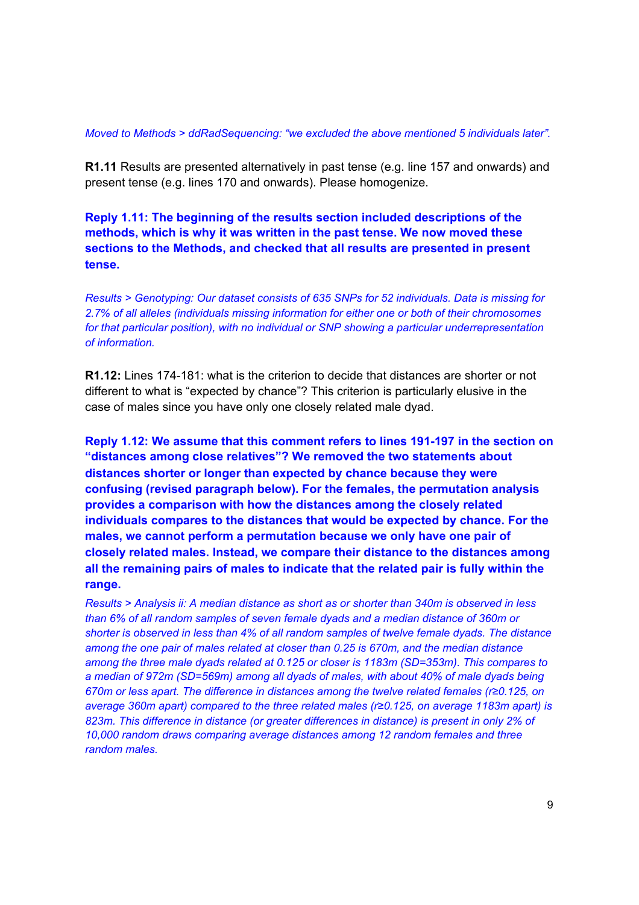#### Moved to Methods > ddRadSequencing: "we excluded the above mentioned 5 individuals later".

R1.11 Results are presented alternatively in past tense (e.g. line 157 and onwards) and present tense (e.g. lines 170 and onwards). Please homogenize.

Reply 1.11: The beginning of the results section included descriptions of the methods, which is why it was written in the past tense. We now moved these sections to the Methods, and checked that all results are presented in present tense.

Results > Genotyping: Our dataset consists of 635 SNPs for 52 individuals. Data is missing for 2.7% of all alleles (individuals missing information for either one or both of their chromosomes for that particular position), with no individual or SNP showing a particular underrepresentation of information.

**R1.12:** Lines 174-181: what is the criterion to decide that distances are shorter or not different to what is "expected by chance"? This criterion is particularly elusive in the case of males since you have only one closely related male dyad.

Reply 1.12: We assume that this comment refers to lines 191-197 in the section on "distances among close relatives"? We removed the two statements about distances shorter or longer than expected by chance because they were confusing (revised paragraph below). For the females, the permutation analysis provides a comparison with how the distances among the closely related individuals compares to the distances that would be expected by chance. For the males, we cannot perform a permutation because we only have one pair of closely related males. Instead, we compare their distance to the distances among all the remaining pairs of males to indicate that the related pair is fully within the range.

Results > Analysis ii: A median distance as short as or shorter than 340m is observed in less than 6% of all random samples of seven female dyads and a median distance of 360m or shorter is observed in less than 4% of all random samples of twelve female dyads. The distance among the one pair of males related at closer than 0.25 is 670m, and the median distance among the three male dyads related at 0.125 or closer is 1183m (SD=353m). This compares to a median of 972m (SD=569m) among all dyads of males, with about 40% of male dyads being 670m or less apart. The difference in distances among the twelve related females ( $r \ge 0.125$ , on average 360m apart) compared to the three related males (r≥0.125, on average 1183m apart) is 823m. This difference in distance (or greater differences in distance) is present in only 2% of 10,000 random draws comparing average distances among 12 random females and three random males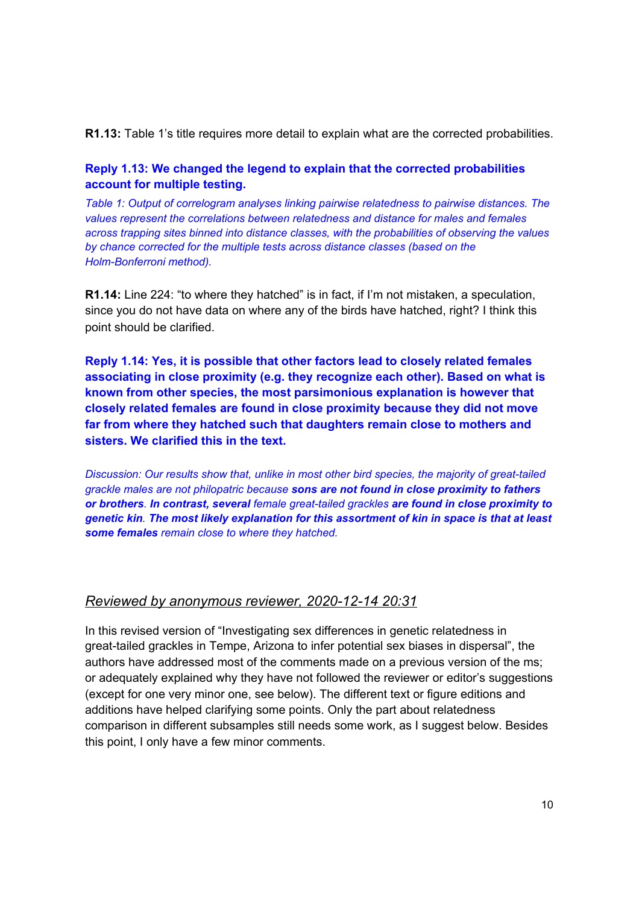R1.13: Table 1's title requires more detail to explain what are the corrected probabilities.

# Reply 1.13: We changed the legend to explain that the corrected probabilities account for multiple testing.

Table 1: Output of correlogram analyses linking pairwise relatedness to pairwise distances. The values represent the correlations between relatedness and distance for males and females across trapping sites binned into distance classes, with the probabilities of observing the values by chance corrected for the multiple tests across distance classes (based on the Holm-Bonferroni method).

**R1.14:** Line 224: "to where they hatched" is in fact, if I'm not mistaken, a speculation, since you do not have data on where any of the birds have hatched, right? I think this point should be clarified.

Reply 1.14: Yes, it is possible that other factors lead to closely related females associating in close proximity (e.g. they recognize each other). Based on what is known from other species, the most parsimonious explanation is however that closely related females are found in close proximity because they did not move far from where they hatched such that daughters remain close to mothers and sisters. We clarified this in the text.

Discussion: Our results show that, unlike in most other bird species, the majority of great-tailed grackle males are not philopatric because sons are not found in close proximity to fathers or brothers. In contrast, several female great-tailed grackles are found in close proximity to genetic kin. The most likely explanation for this assortment of kin in space is that at least some females remain close to where they hatched.

# Reviewed by anonymous reviewer, 2020-12-14 20:31

In this revised version of "Investigating sex differences in genetic relatedness in great-tailed grackles in Tempe, Arizona to infer potential sex biases in dispersal", the authors have addressed most of the comments made on a previous version of the ms; or adequately explained why they have not followed the reviewer or editor's suggestions (except for one very minor one, see below). The different text or figure editions and additions have helped clarifying some points. Only the part about relatedness comparison in different subsamples still needs some work, as I suggest below. Besides this point, I only have a few minor comments.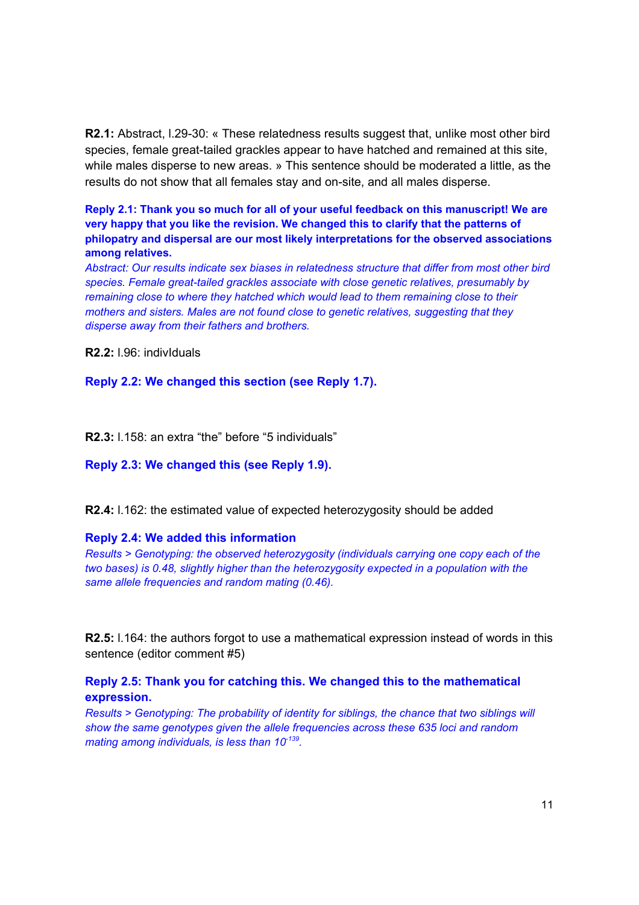**R2.1:** Abstract, I.29-30: « These relatedness results suggest that, unlike most other bird species, female great-tailed grackles appear to have hatched and remained at this site. while males disperse to new areas. » This sentence should be moderated a little, as the results do not show that all females stay and on-site, and all males disperse.

**Reply 2.1: Thank you so much for all of your useful feedback on this manuscript! We are** *Nery* **happy that you like the revision. We changed this to clarify that the patterns of hilopatry** and dispersal are our most likely interpretations for the observed associations **among** relatives.

*Abstract: Our results indicate se[ biases in relatedness structure that differ from most other bird species.* Female great-tailed grackles associate with close genetic relatives, presumably by *remaining close to where they hatched which would lead to them remaining close to their mothers* and *sisters.* Males are not found close to genetic relatives, suggesting that they *disperse away from their fathers and brothers.* 

**R2.2:** I.96: individuals

**Repl\ 2.2: We changed this section (see Repl\ 1.7).**

**R2.3:**  $1.158$ : an extra "the" before "5 individuals"

**Repl\ 2.3: We changed this (see Repl\ 1.9).**

**R2.4:**  $1.162$ : the estimated value of expected heterozygosity should be added

### **Repl\ 2.4: We added this information**

*Results* > *Genotyping: the observed heterozygosity (individuals carrying one copy each of the two bases) is* 0.48, *slightly higher than the heterozygosity expected in a population with the same allele frequencies and random mating (0.46).*

**R2.5:** I.164: the authors forgot to use a mathematical expression instead of words in this sentence (editor comment #5)

### **Reply 2.5: Thank you for catching this. We changed this to the mathematical expression.**

*Results* > *Genotyping: The probability of identity for siblings, the chance that two siblings will show the same genotypes given the allele frequencies across these 635 loci and random mating among indiYiduals, is less than 10-139 .*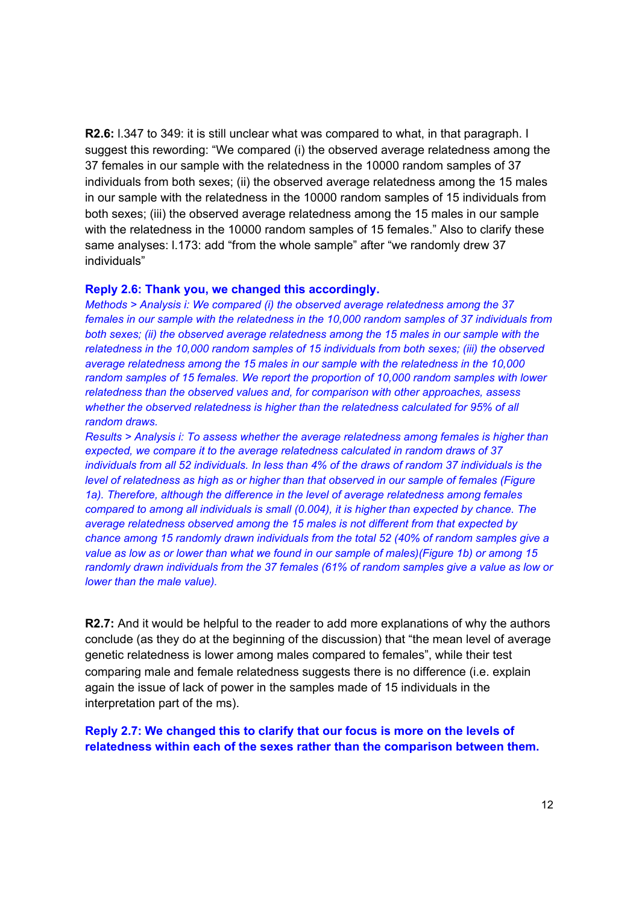R2.6: I.347 to 349: it is still unclear what was compared to what, in that paragraph. I suggest this rewording: "We compared (i) the observed average relatedness among the 37 females in our sample with the relatedness in the 10000 random samples of 37 individuals from both sexes; (ii) the observed average relatedness among the 15 males in our sample with the relatedness in the 10000 random samples of 15 individuals from both sexes; (iii) the observed average relatedness among the 15 males in our sample with the relatedness in the 10000 random samples of 15 females." Also to clarify these same analyses: I.173: add "from the whole sample" after "we randomly drew 37 individuals"

### Reply 2.6: Thank you, we changed this accordingly.

Methods > Analysis i: We compared (i) the observed average relatedness among the 37 females in our sample with the relatedness in the 10,000 random samples of 37 individuals from both sexes; (ii) the observed average relatedness among the 15 males in our sample with the relatedness in the 10,000 random samples of 15 individuals from both sexes; (iii) the observed average relatedness among the 15 males in our sample with the relatedness in the 10,000 random samples of 15 females. We report the proportion of 10,000 random samples with lower relatedness than the observed values and, for comparison with other approaches, assess whether the observed relatedness is higher than the relatedness calculated for 95% of all random draws.

Results > Analysis i: To assess whether the average relatedness among females is higher than expected, we compare it to the average relatedness calculated in random draws of 37 individuals from all 52 individuals. In less than 4% of the draws of random 37 individuals is the level of relatedness as high as or higher than that observed in our sample of females (Figure 1a). Therefore, although the difference in the level of average relatedness among females compared to among all individuals is small (0.004), it is higher than expected by chance. The average relatedness observed among the 15 males is not different from that expected by chance among 15 randomly drawn individuals from the total 52 (40% of random samples give a value as low as or lower than what we found in our sample of males)(Figure 1b) or among 15 randomly drawn individuals from the 37 females (61% of random samples give a value as low or lower than the male value).

R2.7: And it would be helpful to the reader to add more explanations of why the authors conclude (as they do at the beginning of the discussion) that "the mean level of average genetic relatedness is lower among males compared to females", while their test comparing male and female relatedness suggests there is no difference (i.e. explain again the issue of lack of power in the samples made of 15 individuals in the interpretation part of the ms).

Reply 2.7: We changed this to clarify that our focus is more on the levels of relatedness within each of the sexes rather than the comparison between them.